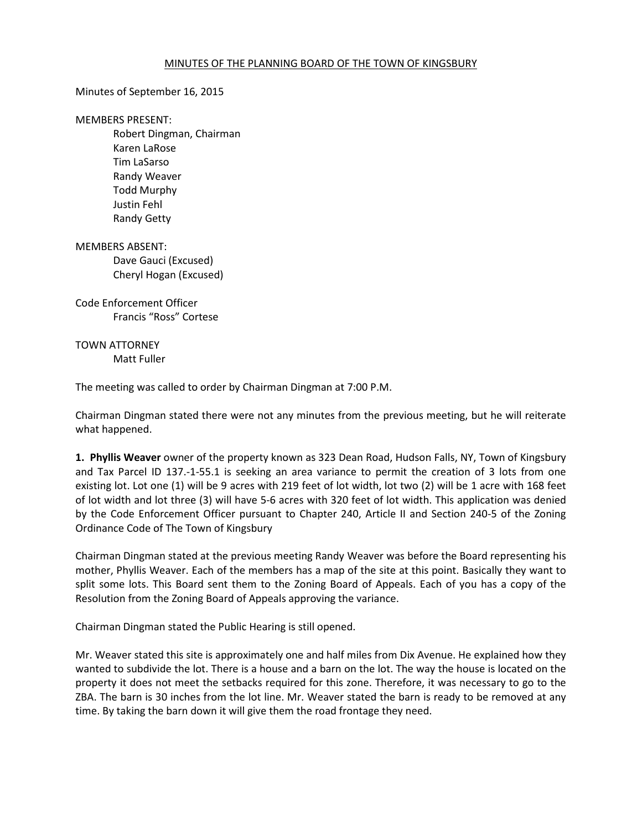## MINUTES OF THE PLANNING BOARD OF THE TOWN OF KINGSBURY

## Minutes of September 16, 2015

## MEMBERS PRESENT:

 Robert Dingman, Chairman Karen LaRose Tim LaSarso Randy Weaver Todd Murphy Justin Fehl Randy Getty

MEMBERS ABSENT: Dave Gauci (Excused) Cheryl Hogan (Excused)

Code Enforcement Officer Francis "Ross" Cortese

TOWN ATTORNEY Matt Fuller

The meeting was called to order by Chairman Dingman at 7:00 P.M.

Chairman Dingman stated there were not any minutes from the previous meeting, but he will reiterate what happened.

**1. Phyllis Weaver** owner of the property known as 323 Dean Road, Hudson Falls, NY, Town of Kingsbury and Tax Parcel ID 137.-1-55.1 is seeking an area variance to permit the creation of 3 lots from one existing lot. Lot one (1) will be 9 acres with 219 feet of lot width, lot two (2) will be 1 acre with 168 feet of lot width and lot three (3) will have 5-6 acres with 320 feet of lot width. This application was denied by the Code Enforcement Officer pursuant to Chapter 240, Article II and Section 240-5 of the Zoning Ordinance Code of The Town of Kingsbury

Chairman Dingman stated at the previous meeting Randy Weaver was before the Board representing his mother, Phyllis Weaver. Each of the members has a map of the site at this point. Basically they want to split some lots. This Board sent them to the Zoning Board of Appeals. Each of you has a copy of the Resolution from the Zoning Board of Appeals approving the variance.

Chairman Dingman stated the Public Hearing is still opened.

Mr. Weaver stated this site is approximately one and half miles from Dix Avenue. He explained how they wanted to subdivide the lot. There is a house and a barn on the lot. The way the house is located on the property it does not meet the setbacks required for this zone. Therefore, it was necessary to go to the ZBA. The barn is 30 inches from the lot line. Mr. Weaver stated the barn is ready to be removed at any time. By taking the barn down it will give them the road frontage they need.